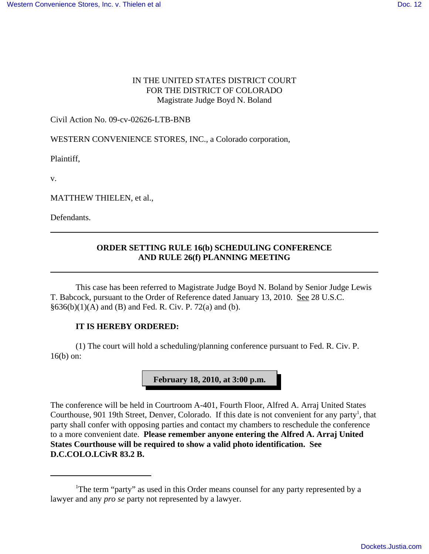## IN THE UNITED STATES DISTRICT COURT FOR THE DISTRICT OF COLORADO Magistrate Judge Boyd N. Boland

Civil Action No. 09-cv-02626-LTB-BNB

WESTERN CONVENIENCE STORES, INC., a Colorado corporation,

Plaintiff,

v.

MATTHEW THIELEN, et al.,

Defendants.

## **ORDER SETTING RULE 16(b) SCHEDULING CONFERENCE AND RULE 26(f) PLANNING MEETING**

This case has been referred to Magistrate Judge Boyd N. Boland by Senior Judge Lewis T. Babcock, pursuant to the Order of Reference dated January 13, 2010. See 28 U.S.C.  $§636(b)(1)(A)$  and (B) and Fed. R. Civ. P. 72(a) and (b).

## **IT IS HEREBY ORDERED:**

(1) The court will hold a scheduling/planning conference pursuant to Fed. R. Civ. P. 16(b) on:



The conference will be held in Courtroom A-401, Fourth Floor, Alfred A. Arraj United States Courthouse, 901 19th Street, Denver, Colorado. If this date is not convenient for any party<sup>1</sup>, that party shall confer with opposing parties and contact my chambers to reschedule the conference to a more convenient date. **Please remember anyone entering the Alfred A. Arraj United States Courthouse will be required to show a valid photo identification. See D.C.COLO.LCivR 83.2 B.**

<sup>&</sup>lt;sup>1</sup>The term "party" as used in this Order means counsel for any party represented by a lawyer and any *pro se* party not represented by a lawyer.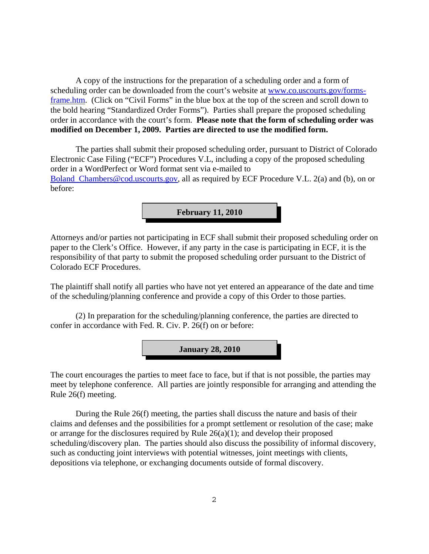A copy of the instructions for the preparation of a scheduling order and a form of scheduling order can be downloaded from the court's website at www.co.uscourts.gov/formsframe.htm. (Click on "Civil Forms" in the blue box at the top of the screen and scroll down to the bold hearing "Standardized Order Forms"). Parties shall prepare the proposed scheduling order in accordance with the court's form. **Please note that the form of scheduling order was modified on December 1, 2009. Parties are directed to use the modified form.**

The parties shall submit their proposed scheduling order, pursuant to District of Colorado Electronic Case Filing ("ECF") Procedures V.L, including a copy of the proposed scheduling order in a WordPerfect or Word format sent via e-mailed to Boland Chambers@cod.uscourts.gov, all as required by ECF Procedure V.L. 2(a) and (b), on or before:

**February 11, 2010**

Attorneys and/or parties not participating in ECF shall submit their proposed scheduling order on paper to the Clerk's Office. However, if any party in the case is participating in ECF, it is the responsibility of that party to submit the proposed scheduling order pursuant to the District of Colorado ECF Procedures.

The plaintiff shall notify all parties who have not yet entered an appearance of the date and time of the scheduling/planning conference and provide a copy of this Order to those parties.

(2) In preparation for the scheduling/planning conference, the parties are directed to confer in accordance with Fed. R. Civ. P. 26(f) on or before:



The court encourages the parties to meet face to face, but if that is not possible, the parties may meet by telephone conference. All parties are jointly responsible for arranging and attending the Rule 26(f) meeting.

During the Rule 26(f) meeting, the parties shall discuss the nature and basis of their claims and defenses and the possibilities for a prompt settlement or resolution of the case; make or arrange for the disclosures required by Rule 26(a)(1); and develop their proposed scheduling/discovery plan. The parties should also discuss the possibility of informal discovery, such as conducting joint interviews with potential witnesses, joint meetings with clients, depositions via telephone, or exchanging documents outside of formal discovery.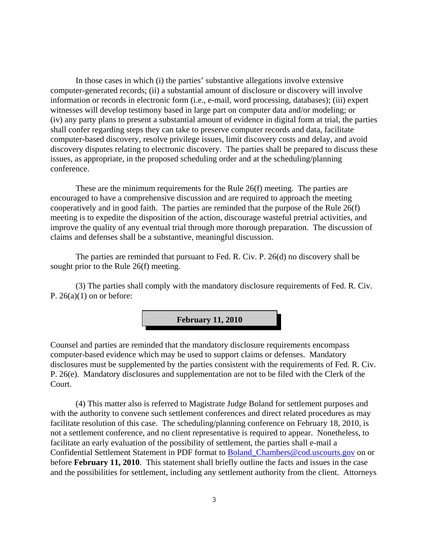In those cases in which (i) the parties' substantive allegations involve extensive computer-generated records; (ii) a substantial amount of disclosure or discovery will involve information or records in electronic form (i.e., e-mail, word processing, databases); (iii) expert witnesses will develop testimony based in large part on computer data and/or modeling; or (iv) any party plans to present a substantial amount of evidence in digital form at trial, the parties shall confer regarding steps they can take to preserve computer records and data, facilitate computer-based discovery, resolve privilege issues, limit discovery costs and delay, and avoid discovery disputes relating to electronic discovery. The parties shall be prepared to discuss these issues, as appropriate, in the proposed scheduling order and at the scheduling/planning conference.

These are the minimum requirements for the Rule 26(f) meeting. The parties are encouraged to have a comprehensive discussion and are required to approach the meeting cooperatively and in good faith. The parties are reminded that the purpose of the Rule 26(f) meeting is to expedite the disposition of the action, discourage wasteful pretrial activities, and improve the quality of any eventual trial through more thorough preparation. The discussion of claims and defenses shall be a substantive, meaningful discussion.

The parties are reminded that pursuant to Fed. R. Civ. P. 26(d) no discovery shall be sought prior to the Rule 26(f) meeting.

(3) The parties shall comply with the mandatory disclosure requirements of Fed. R. Civ. P.  $26(a)(1)$  on or before:



Counsel and parties are reminded that the mandatory disclosure requirements encompass computer-based evidence which may be used to support claims or defenses. Mandatory disclosures must be supplemented by the parties consistent with the requirements of Fed. R. Civ. P. 26(e). Mandatory disclosures and supplementation are not to be filed with the Clerk of the Court.

(4) This matter also is referred to Magistrate Judge Boland for settlement purposes and with the authority to convene such settlement conferences and direct related procedures as may facilitate resolution of this case. The scheduling/planning conference on February 18, 2010, is not a settlement conference, and no client representative is required to appear. Nonetheless, to facilitate an early evaluation of the possibility of settlement, the parties shall e-mail a Confidential Settlement Statement in PDF format to Boland\_Chambers@cod.uscourts.gov on or before **February 11, 2010**. This statement shall briefly outline the facts and issues in the case and the possibilities for settlement, including any settlement authority from the client. Attorneys